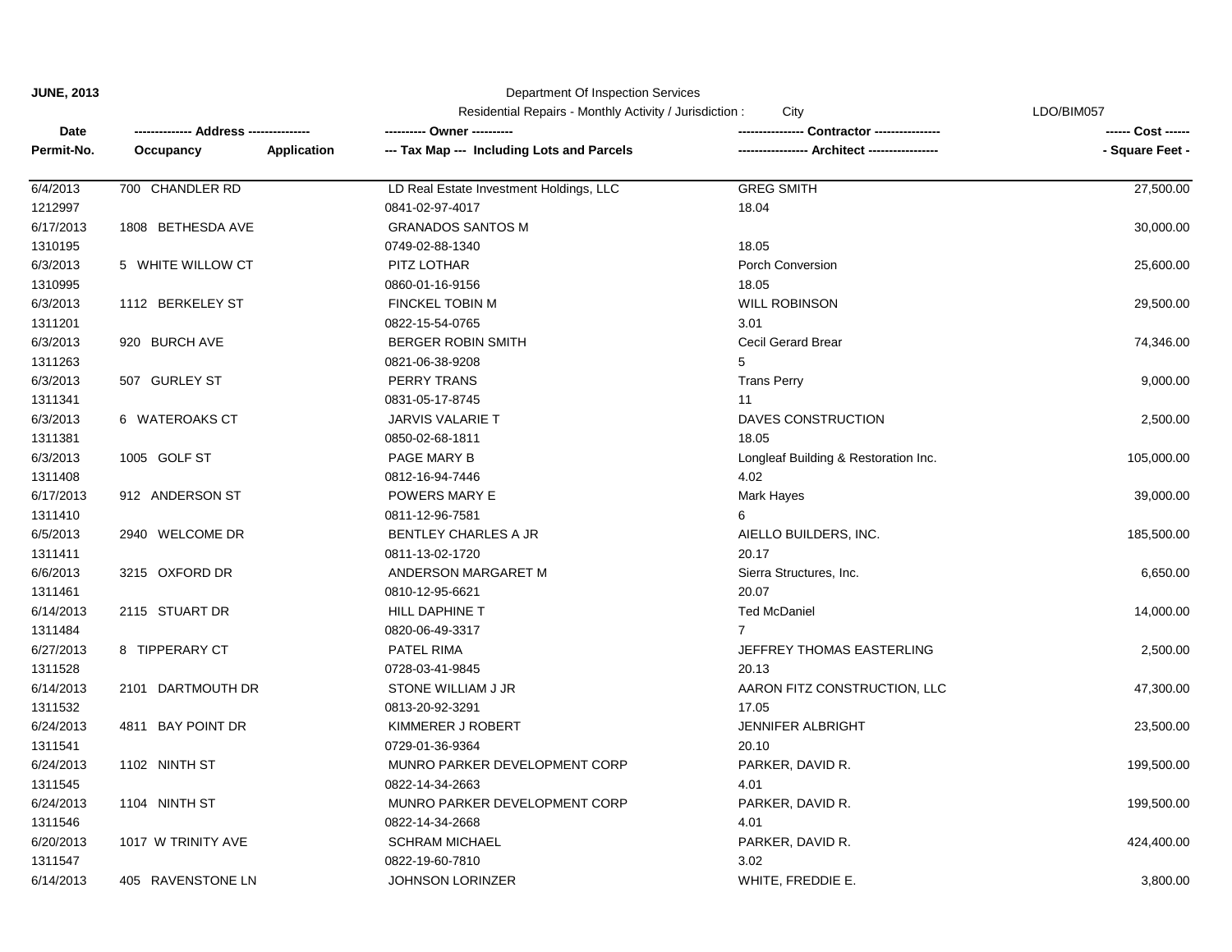|            |                             | Residential Repairs - Monthly Activity / Jurisdiction :<br>City |                                            |                                      | LDO/BIM057         |  |
|------------|-----------------------------|-----------------------------------------------------------------|--------------------------------------------|--------------------------------------|--------------------|--|
| Date       | --- Address --------------- |                                                                 | ---------- Owner ----------                |                                      | ------ Cost ------ |  |
| Permit-No. | Occupancy                   | <b>Application</b>                                              | --- Tax Map --- Including Lots and Parcels | --- Architect ------------           | - Square Feet -    |  |
| 6/4/2013   | 700 CHANDLER RD             |                                                                 | LD Real Estate Investment Holdings, LLC    | <b>GREG SMITH</b>                    | 27,500.00          |  |
| 1212997    |                             |                                                                 | 0841-02-97-4017                            | 18.04                                |                    |  |
| 6/17/2013  | 1808 BETHESDA AVE           |                                                                 | <b>GRANADOS SANTOS M</b>                   |                                      | 30,000.00          |  |
| 1310195    |                             |                                                                 | 0749-02-88-1340                            | 18.05                                |                    |  |
| 6/3/2013   | 5 WHITE WILLOW CT           |                                                                 | PITZ LOTHAR                                | Porch Conversion                     | 25,600.00          |  |
| 1310995    |                             |                                                                 | 0860-01-16-9156                            | 18.05                                |                    |  |
| 6/3/2013   | 1112 BERKELEY ST            |                                                                 | <b>FINCKEL TOBIN M</b>                     | <b>WILL ROBINSON</b>                 | 29,500.00          |  |
| 1311201    |                             |                                                                 | 0822-15-54-0765                            | 3.01                                 |                    |  |
| 6/3/2013   | 920 BURCH AVE               |                                                                 | <b>BERGER ROBIN SMITH</b>                  | <b>Cecil Gerard Brear</b>            | 74,346.00          |  |
| 1311263    |                             |                                                                 | 0821-06-38-9208                            | 5                                    |                    |  |
| 6/3/2013   | 507 GURLEY ST               |                                                                 | <b>PERRY TRANS</b>                         | <b>Trans Perry</b>                   | 9,000.00           |  |
| 1311341    |                             |                                                                 | 0831-05-17-8745                            | 11                                   |                    |  |
| 6/3/2013   | 6 WATEROAKS CT              |                                                                 | <b>JARVIS VALARIE T</b>                    | DAVES CONSTRUCTION                   | 2,500.00           |  |
| 1311381    |                             |                                                                 | 0850-02-68-1811                            | 18.05                                |                    |  |
| 6/3/2013   | 1005 GOLF ST                |                                                                 | PAGE MARY B                                | Longleaf Building & Restoration Inc. | 105,000.00         |  |
| 1311408    |                             |                                                                 | 0812-16-94-7446                            | 4.02                                 |                    |  |
| 6/17/2013  | 912 ANDERSON ST             |                                                                 | POWERS MARY E                              | <b>Mark Hayes</b>                    | 39,000.00          |  |
| 1311410    |                             |                                                                 | 0811-12-96-7581                            | ี                                    |                    |  |
| 6/5/2013   | 2940 WELCOME DR             |                                                                 | BENTLEY CHARLES A JR                       | AIELLO BUILDERS, INC.                | 185,500.00         |  |
| 1311411    |                             |                                                                 | 0811-13-02-1720                            | 20.17                                |                    |  |
| 6/6/2013   | 3215 OXFORD DR              |                                                                 | ANDERSON MARGARET M                        | Sierra Structures, Inc.              | 6,650.00           |  |
| 1311461    |                             |                                                                 | 0810-12-95-6621                            | 20.07                                |                    |  |
| 6/14/2013  | 2115 STUART DR              |                                                                 | HILL DAPHINE T                             | <b>Ted McDaniel</b>                  | 14,000.00          |  |
| 1311484    |                             |                                                                 | 0820-06-49-3317                            | $\overline{7}$                       |                    |  |
| 6/27/2013  | 8 TIPPERARY CT              |                                                                 | <b>PATEL RIMA</b>                          | JEFFREY THOMAS EASTERLING            | 2,500.00           |  |
| 1311528    |                             |                                                                 | 0728-03-41-9845                            | 20.13                                |                    |  |
| 6/14/2013  | 2101 DARTMOUTH DR           |                                                                 | STONE WILLIAM J JR                         | AARON FITZ CONSTRUCTION, LLC         | 47,300.00          |  |
| 1311532    |                             |                                                                 | 0813-20-92-3291                            | 17.05                                |                    |  |
| 6/24/2013  | 4811 BAY POINT DR           |                                                                 | KIMMERER J ROBERT                          | JENNIFER ALBRIGHT                    | 23,500.00          |  |
| 1311541    |                             |                                                                 | 0729-01-36-9364                            | 20.10                                |                    |  |
| 6/24/2013  | 1102 NINTH ST               |                                                                 | MUNRO PARKER DEVELOPMENT CORP              | PARKER, DAVID R.                     | 199,500.00         |  |
| 1311545    |                             |                                                                 | 0822-14-34-2663                            | 4.01                                 |                    |  |
| 6/24/2013  | 1104 NINTH ST               |                                                                 | MUNRO PARKER DEVELOPMENT CORP              | PARKER, DAVID R.                     | 199,500.00         |  |
| 1311546    |                             |                                                                 | 0822-14-34-2668                            | 4.01                                 |                    |  |
| 6/20/2013  | 1017 W TRINITY AVE          |                                                                 | <b>SCHRAM MICHAEL</b>                      | PARKER, DAVID R.                     | 424,400.00         |  |
| 1311547    |                             |                                                                 | 0822-19-60-7810                            | 3.02                                 |                    |  |
| 6/14/2013  | 405 RAVENSTONE LN           |                                                                 | <b>JOHNSON LORINZER</b>                    | WHITE, FREDDIE E.                    | 3,800.00           |  |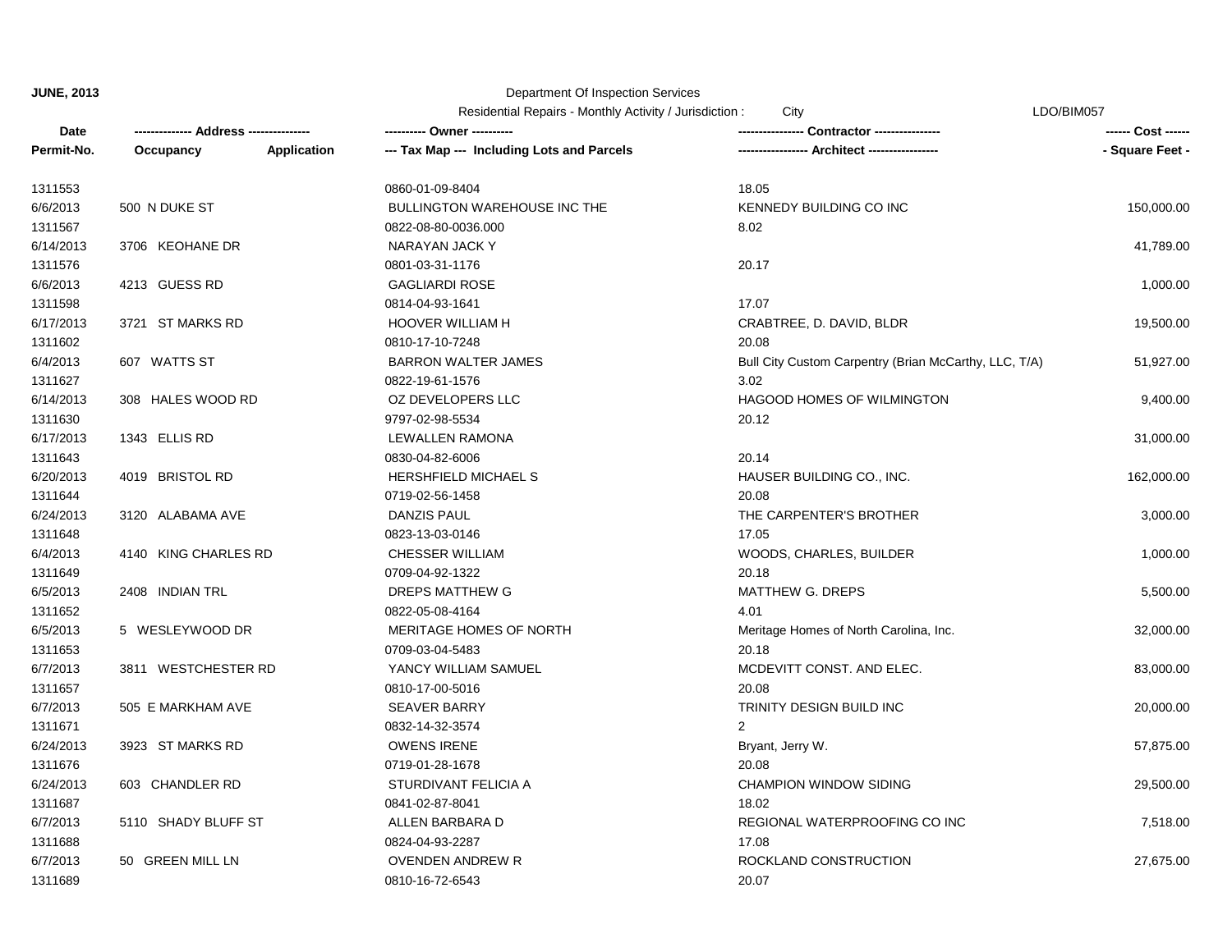|            |                      |                    | Residential Repairs - Monthly Activity / Jurisdiction :<br>City |                                                       | LDO/BIM057      |  |
|------------|----------------------|--------------------|-----------------------------------------------------------------|-------------------------------------------------------|-----------------|--|
| Date       |                      |                    | ---------- Owner ----------                                     | Contractor ----------------                           |                 |  |
| Permit-No. | Occupancy            | <b>Application</b> | --- Tax Map --- Including Lots and Parcels                      | Architect -----                                       | - Square Feet - |  |
| 1311553    |                      |                    | 0860-01-09-8404                                                 | 18.05                                                 |                 |  |
| 6/6/2013   | 500 N DUKE ST        |                    | BULLINGTON WAREHOUSE INC THE                                    | <b>KENNEDY BUILDING CO INC</b>                        | 150,000.00      |  |
| 1311567    |                      |                    | 0822-08-80-0036.000                                             | 8.02                                                  |                 |  |
| 6/14/2013  | 3706 KEOHANE DR      |                    | NARAYAN JACK Y                                                  |                                                       | 41,789.00       |  |
| 1311576    |                      |                    | 0801-03-31-1176                                                 | 20.17                                                 |                 |  |
| 6/6/2013   | 4213 GUESS RD        |                    | <b>GAGLIARDI ROSE</b>                                           |                                                       | 1,000.00        |  |
| 1311598    |                      |                    | 0814-04-93-1641                                                 | 17.07                                                 |                 |  |
| 6/17/2013  | 3721 ST MARKS RD     |                    | <b>HOOVER WILLIAM H</b>                                         | CRABTREE, D. DAVID, BLDR                              | 19,500.00       |  |
| 1311602    |                      |                    | 0810-17-10-7248                                                 | 20.08                                                 |                 |  |
| 6/4/2013   | 607 WATTS ST         |                    | <b>BARRON WALTER JAMES</b>                                      | Bull City Custom Carpentry (Brian McCarthy, LLC, T/A) | 51,927.00       |  |
| 1311627    |                      |                    | 0822-19-61-1576                                                 | 3.02                                                  |                 |  |
| 6/14/2013  | 308 HALES WOOD RD    |                    | OZ DEVELOPERS LLC                                               | HAGOOD HOMES OF WILMINGTON                            | 9,400.00        |  |
| 1311630    |                      |                    | 9797-02-98-5534                                                 | 20.12                                                 |                 |  |
| 6/17/2013  | 1343 ELLIS RD        |                    | <b>LEWALLEN RAMONA</b>                                          |                                                       | 31,000.00       |  |
| 1311643    |                      |                    | 0830-04-82-6006                                                 | 20.14                                                 |                 |  |
| 6/20/2013  | 4019 BRISTOL RD      |                    | <b>HERSHFIELD MICHAEL S</b>                                     | HAUSER BUILDING CO., INC.                             | 162,000.00      |  |
| 1311644    |                      |                    | 0719-02-56-1458                                                 | 20.08                                                 |                 |  |
| 6/24/2013  | 3120 ALABAMA AVE     |                    | DANZIS PAUL                                                     | THE CARPENTER'S BROTHER                               | 3,000.00        |  |
| 1311648    |                      |                    | 0823-13-03-0146                                                 | 17.05                                                 |                 |  |
| 6/4/2013   | 4140 KING CHARLES RD |                    | <b>CHESSER WILLIAM</b>                                          | WOODS, CHARLES, BUILDER                               | 1,000.00        |  |
| 1311649    |                      |                    | 0709-04-92-1322                                                 | 20.18                                                 |                 |  |
| 6/5/2013   | 2408 INDIAN TRL      |                    | <b>DREPS MATTHEW G</b>                                          | <b>MATTHEW G. DREPS</b>                               | 5,500.00        |  |
| 1311652    |                      |                    | 0822-05-08-4164                                                 | 4.01                                                  |                 |  |
| 6/5/2013   | 5 WESLEYWOOD DR      |                    | <b>MERITAGE HOMES OF NORTH</b>                                  | Meritage Homes of North Carolina, Inc.                | 32,000.00       |  |
| 1311653    |                      |                    | 0709-03-04-5483                                                 | 20.18                                                 |                 |  |
| 6/7/2013   | 3811 WESTCHESTER RD  |                    | YANCY WILLIAM SAMUEL                                            | MCDEVITT CONST. AND ELEC.                             | 83,000.00       |  |
| 1311657    |                      |                    | 0810-17-00-5016                                                 | 20.08                                                 |                 |  |
| 6/7/2013   | 505 E MARKHAM AVE    |                    | <b>SEAVER BARRY</b>                                             | TRINITY DESIGN BUILD INC                              | 20,000.00       |  |
| 1311671    |                      |                    | 0832-14-32-3574                                                 | $\overline{2}$                                        |                 |  |
| 6/24/2013  | 3923 ST MARKS RD     |                    | <b>OWENS IRENE</b>                                              | Bryant, Jerry W.                                      | 57,875.00       |  |
| 1311676    |                      |                    | 0719-01-28-1678                                                 | 20.08                                                 |                 |  |
| 6/24/2013  | 603 CHANDLER RD      |                    | STURDIVANT FELICIA A                                            | <b>CHAMPION WINDOW SIDING</b>                         | 29,500.00       |  |
| 1311687    |                      |                    | 0841-02-87-8041                                                 | 18.02                                                 |                 |  |
| 6/7/2013   | 5110 SHADY BLUFF ST  |                    | ALLEN BARBARA D                                                 | REGIONAL WATERPROOFING CO INC                         | 7,518.00        |  |
| 1311688    |                      |                    | 0824-04-93-2287                                                 | 17.08                                                 |                 |  |
| 6/7/2013   | 50 GREEN MILL LN     |                    | <b>OVENDEN ANDREW R</b>                                         | ROCKLAND CONSTRUCTION                                 | 27,675.00       |  |
| 1311689    |                      |                    | 0810-16-72-6543                                                 | 20.07                                                 |                 |  |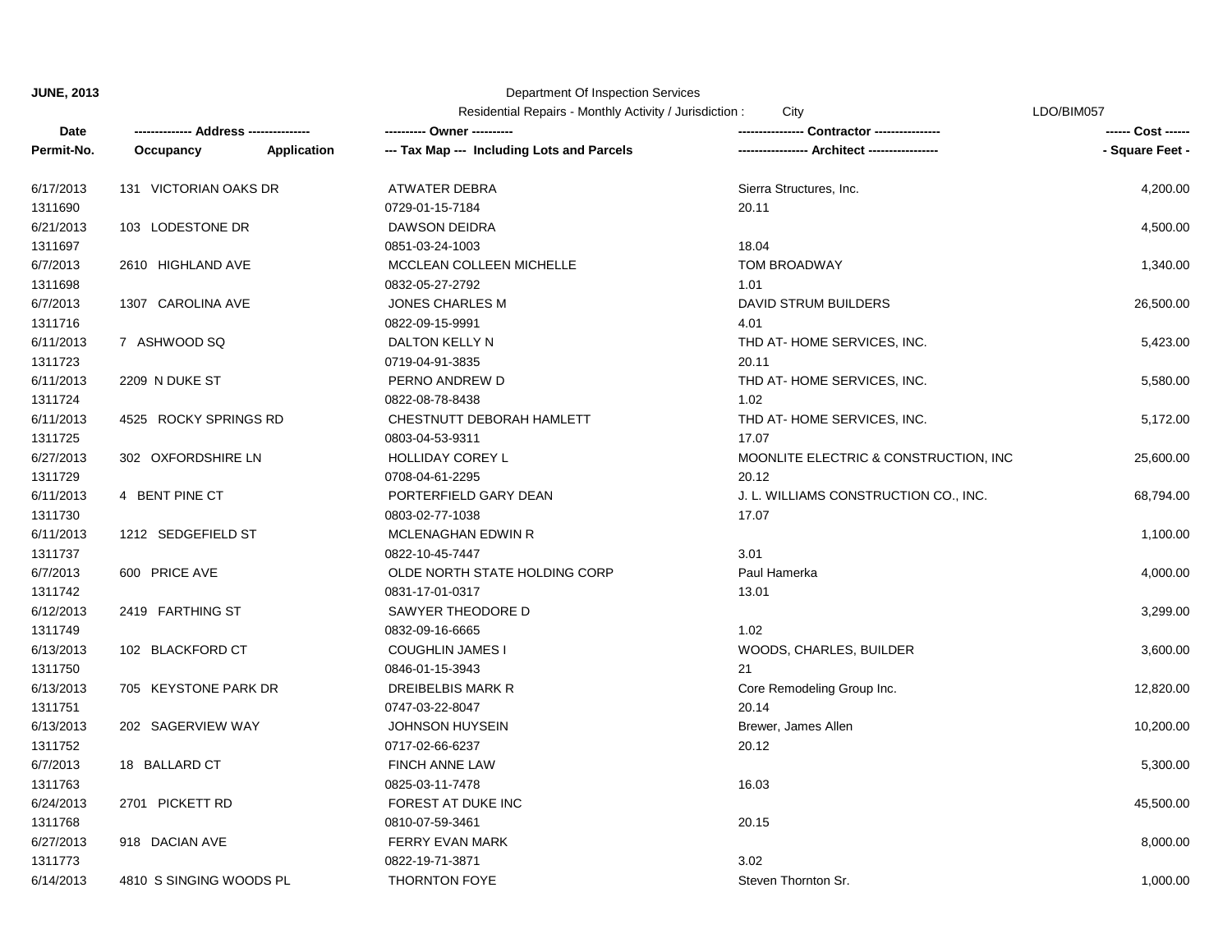# Department Of Inspection Services

|            |                                      |                    | Residential Repairs - Monthly Activity / Jurisdiction:<br>City |                                              | LDO/BIM057         |  |
|------------|--------------------------------------|--------------------|----------------------------------------------------------------|----------------------------------------------|--------------------|--|
| Date       | ------------- Address -------------- |                    | ---------- Owner ----------                                    |                                              | ------ Cost ------ |  |
| Permit-No. | Occupancy                            | <b>Application</b> | --- Tax Map --- Including Lots and Parcels                     | ---------------- Architect ----------------- | - Square Feet -    |  |
| 6/17/2013  | 131 VICTORIAN OAKS DR                |                    | ATWATER DEBRA                                                  | Sierra Structures, Inc.                      | 4,200.00           |  |
| 1311690    |                                      |                    | 0729-01-15-7184                                                | 20.11                                        |                    |  |
| 6/21/2013  | 103 LODESTONE DR                     |                    | <b>DAWSON DEIDRA</b>                                           |                                              | 4,500.00           |  |
| 1311697    |                                      |                    | 0851-03-24-1003                                                | 18.04                                        |                    |  |
| 6/7/2013   | 2610 HIGHLAND AVE                    |                    | MCCLEAN COLLEEN MICHELLE                                       | TOM BROADWAY                                 | 1,340.00           |  |
| 1311698    |                                      |                    | 0832-05-27-2792                                                | 1.01                                         |                    |  |
| 6/7/2013   | 1307 CAROLINA AVE                    |                    | <b>JONES CHARLES M</b>                                         | DAVID STRUM BUILDERS                         | 26,500.00          |  |
| 1311716    |                                      |                    | 0822-09-15-9991                                                | 4.01                                         |                    |  |
| 6/11/2013  | 7 ASHWOOD SQ                         |                    | DALTON KELLY N                                                 | THD AT HOME SERVICES, INC.                   | 5,423.00           |  |
| 1311723    |                                      |                    | 0719-04-91-3835                                                | 20.11                                        |                    |  |
| 6/11/2013  | 2209 N DUKE ST                       |                    | PERNO ANDREW D                                                 | THD AT-HOME SERVICES, INC.                   | 5,580.00           |  |
| 1311724    |                                      |                    | 0822-08-78-8438                                                | 1.02                                         |                    |  |
| 6/11/2013  | 4525 ROCKY SPRINGS RD                |                    | CHESTNUTT DEBORAH HAMLETT                                      | THD AT-HOME SERVICES, INC.                   | 5,172.00           |  |
| 1311725    |                                      |                    | 0803-04-53-9311                                                | 17.07                                        |                    |  |
| 6/27/2013  | 302 OXFORDSHIRE LN                   |                    | <b>HOLLIDAY COREY L</b>                                        | MOONLITE ELECTRIC & CONSTRUCTION, INC        | 25,600.00          |  |
| 1311729    |                                      |                    | 0708-04-61-2295                                                | 20.12                                        |                    |  |
| 6/11/2013  | 4 BENT PINE CT                       |                    | PORTERFIELD GARY DEAN                                          | J. L. WILLIAMS CONSTRUCTION CO., INC.        | 68,794.00          |  |
| 1311730    |                                      |                    | 0803-02-77-1038                                                | 17.07                                        |                    |  |
| 6/11/2013  | 1212 SEDGEFIELD ST                   |                    | MCLENAGHAN EDWIN R                                             |                                              | 1,100.00           |  |
| 1311737    |                                      |                    | 0822-10-45-7447                                                | 3.01                                         |                    |  |
| 6/7/2013   | 600 PRICE AVE                        |                    | OLDE NORTH STATE HOLDING CORP                                  | Paul Hamerka                                 | 4,000.00           |  |
| 1311742    |                                      |                    | 0831-17-01-0317                                                | 13.01                                        |                    |  |
| 6/12/2013  | 2419 FARTHING ST                     |                    | SAWYER THEODORE D                                              |                                              | 3,299.00           |  |
| 1311749    |                                      |                    | 0832-09-16-6665                                                | 1.02                                         |                    |  |
| 6/13/2013  | 102 BLACKFORD CT                     |                    | <b>COUGHLIN JAMES I</b>                                        | WOODS, CHARLES, BUILDER                      | 3,600.00           |  |
| 1311750    |                                      |                    | 0846-01-15-3943                                                | 21                                           |                    |  |
| 6/13/2013  | 705 KEYSTONE PARK DR                 |                    | DREIBELBIS MARK R                                              | Core Remodeling Group Inc.                   | 12,820.00          |  |
| 1311751    |                                      |                    | 0747-03-22-8047                                                | 20.14                                        |                    |  |
| 6/13/2013  | 202 SAGERVIEW WAY                    |                    | <b>JOHNSON HUYSEIN</b>                                         | Brewer, James Allen                          | 10,200.00          |  |
| 1311752    |                                      |                    | 0717-02-66-6237                                                | 20.12                                        |                    |  |
| 6/7/2013   | 18 BALLARD CT                        |                    | <b>FINCH ANNE LAW</b>                                          |                                              | 5,300.00           |  |
| 1311763    |                                      |                    | 0825-03-11-7478                                                | 16.03                                        |                    |  |
| 6/24/2013  | 2701 PICKETT RD                      |                    | FOREST AT DUKE INC                                             |                                              | 45,500.00          |  |
| 1311768    |                                      |                    | 0810-07-59-3461                                                | 20.15                                        |                    |  |
| 6/27/2013  | 918 DACIAN AVE                       |                    | FERRY EVAN MARK                                                |                                              | 8,000.00           |  |
| 1311773    |                                      |                    | 0822-19-71-3871                                                | 3.02                                         |                    |  |

6/14/2013 4810 S SINGING WOODS PL THORNTON FOYE Steven Thornton Sr. 1,000.00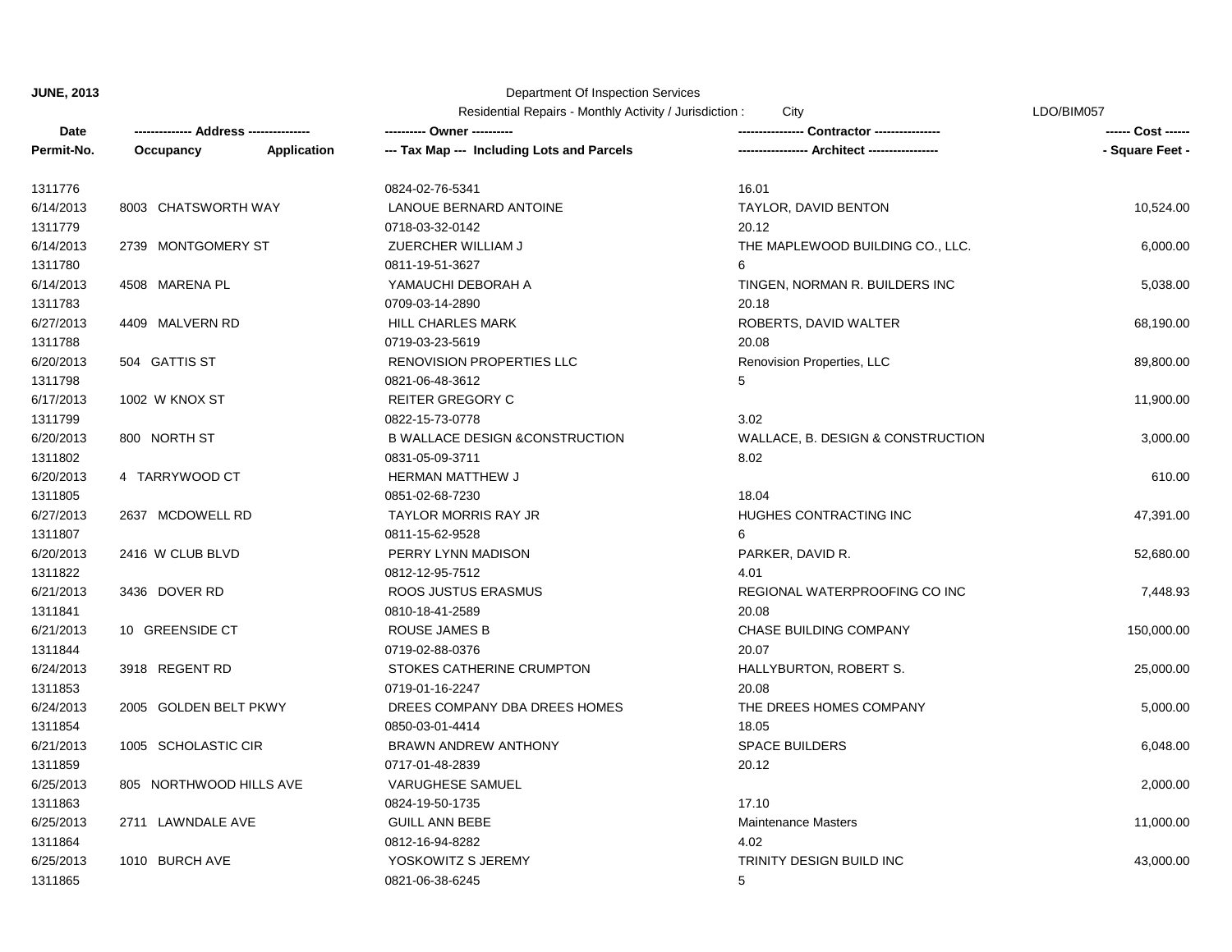|            |                         |                    | Residential Repairs - Monthly Activity / Jurisdiction :<br>City |                                   | LDO/BIM057      |  |
|------------|-------------------------|--------------------|-----------------------------------------------------------------|-----------------------------------|-----------------|--|
| Date       |                         |                    | ---------- Owner ----------                                     | Contractor ---------------        |                 |  |
| Permit-No. | Occupancy               | <b>Application</b> | --- Tax Map --- Including Lots and Parcels                      | - Architect --                    | - Square Feet - |  |
| 1311776    |                         |                    | 0824-02-76-5341                                                 | 16.01                             |                 |  |
| 6/14/2013  | 8003 CHATSWORTH WAY     |                    | LANOUE BERNARD ANTOINE                                          | TAYLOR, DAVID BENTON              | 10,524.00       |  |
| 1311779    |                         |                    | 0718-03-32-0142                                                 | 20.12                             |                 |  |
| 6/14/2013  | 2739 MONTGOMERY ST      |                    | ZUERCHER WILLIAM J                                              | THE MAPLEWOOD BUILDING CO., LLC.  | 6,000.00        |  |
| 1311780    |                         |                    | 0811-19-51-3627                                                 | 6                                 |                 |  |
| 6/14/2013  | 4508 MARENA PL          |                    | YAMAUCHI DEBORAH A                                              | TINGEN, NORMAN R. BUILDERS INC    | 5,038.00        |  |
| 1311783    |                         |                    | 0709-03-14-2890                                                 | 20.18                             |                 |  |
| 6/27/2013  | 4409 MALVERN RD         |                    | <b>HILL CHARLES MARK</b>                                        | ROBERTS, DAVID WALTER             | 68,190.00       |  |
| 1311788    |                         |                    | 0719-03-23-5619                                                 | 20.08                             |                 |  |
| 6/20/2013  | 504 GATTIS ST           |                    | RENOVISION PROPERTIES LLC                                       | Renovision Properties, LLC        | 89,800.00       |  |
| 1311798    |                         |                    | 0821-06-48-3612                                                 | 5                                 |                 |  |
| 6/17/2013  | 1002 W KNOX ST          |                    | <b>REITER GREGORY C</b>                                         |                                   | 11,900.00       |  |
| 1311799    |                         |                    | 0822-15-73-0778                                                 | 3.02                              |                 |  |
| 6/20/2013  | 800 NORTH ST            |                    | <b>B WALLACE DESIGN &amp;CONSTRUCTION</b>                       | WALLACE, B. DESIGN & CONSTRUCTION | 3,000.00        |  |
| 1311802    |                         |                    | 0831-05-09-3711                                                 | 8.02                              |                 |  |
| 6/20/2013  | 4 TARRYWOOD CT          |                    | HERMAN MATTHEW J                                                |                                   | 610.00          |  |
| 1311805    |                         |                    | 0851-02-68-7230                                                 | 18.04                             |                 |  |
| 6/27/2013  | 2637 MCDOWELL RD        |                    | <b>TAYLOR MORRIS RAY JR</b>                                     | HUGHES CONTRACTING INC            | 47,391.00       |  |
| 1311807    |                         |                    | 0811-15-62-9528                                                 | 6                                 |                 |  |
| 6/20/2013  | 2416 W CLUB BLVD        |                    | PERRY LYNN MADISON                                              | PARKER, DAVID R.                  | 52,680.00       |  |
| 1311822    |                         |                    | 0812-12-95-7512                                                 | 4.01                              |                 |  |
| 6/21/2013  | 3436 DOVER RD           |                    | ROOS JUSTUS ERASMUS                                             | REGIONAL WATERPROOFING CO INC     | 7,448.93        |  |
| 1311841    |                         |                    | 0810-18-41-2589                                                 | 20.08                             |                 |  |
| 6/21/2013  | 10 GREENSIDE CT         |                    | <b>ROUSE JAMES B</b>                                            | CHASE BUILDING COMPANY            | 150,000.00      |  |
| 1311844    |                         |                    | 0719-02-88-0376                                                 | 20.07                             |                 |  |
| 6/24/2013  | 3918 REGENT RD          |                    | STOKES CATHERINE CRUMPTON                                       | HALLYBURTON, ROBERT S.            | 25,000.00       |  |
| 1311853    |                         |                    | 0719-01-16-2247                                                 | 20.08                             |                 |  |
| 6/24/2013  | 2005 GOLDEN BELT PKWY   |                    | DREES COMPANY DBA DREES HOMES                                   | THE DREES HOMES COMPANY           | 5,000.00        |  |
| 1311854    |                         |                    | 0850-03-01-4414                                                 | 18.05                             |                 |  |
| 6/21/2013  | 1005 SCHOLASTIC CIR     |                    | <b>BRAWN ANDREW ANTHONY</b>                                     | SPACE BUILDERS                    | 6,048.00        |  |
| 1311859    |                         |                    | 0717-01-48-2839                                                 | 20.12                             |                 |  |
| 6/25/2013  | 805 NORTHWOOD HILLS AVE |                    | <b>VARUGHESE SAMUEL</b>                                         |                                   | 2,000.00        |  |
| 1311863    |                         |                    | 0824-19-50-1735                                                 | 17.10                             |                 |  |
| 6/25/2013  | 2711 LAWNDALE AVE       |                    | <b>GUILL ANN BEBE</b>                                           | <b>Maintenance Masters</b>        | 11,000.00       |  |
| 1311864    |                         |                    | 0812-16-94-8282                                                 | 4.02                              |                 |  |
| 6/25/2013  | 1010 BURCH AVE          |                    | YOSKOWITZ S JEREMY                                              | TRINITY DESIGN BUILD INC          | 43,000.00       |  |
| 1311865    |                         |                    | 0821-06-38-6245                                                 | 5                                 |                 |  |